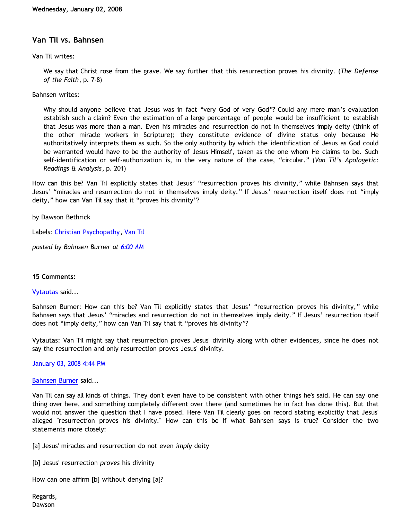# **Van Til vs. Bahnsen**

Van Til writes:

We say that Christ rose from the grave. We say further that this resurrection proves his divinity. (*The Defense of the Faith*, p. 7-8)

Bahnsen writes:

Why should anyone believe that Jesus was in fact "very God of very God"? Could any mere man's evaluation establish such a claim? Even the estimation of a large percentage of people would be insufficient to establish that Jesus was more than a man. Even his miracles and resurrection do not in themselves imply deity (think of the other miracle workers in Scripture); they constitute evidence of divine status only because He authoritatively interprets them as such. So the only authority by which the identification of Jesus as God could be warranted would have to be the authority of Jesus Himself, taken as the one whom He claims to be. Such self-identification or self-authorization is, in the very nature of the case, "circular." (*Van Til's Apologetic: Readings & Analysis*, p. 201)

How can this be? Van Til explicitly states that Jesus' "resurrection proves his divinity," while Bahnsen says that Jesus' "miracles and resurrection do not in themselves imply deity." If Jesus' resurrection itself does not "imply deity," how can Van Til say that it "proves his divinity"?

by Dawson Bethrick

Labels: [Christian Psychopathy](http://bahnsenburner.blogspot.com/search/label/Christian%20Psychopathy), [Van Til](http://bahnsenburner.blogspot.com/search/label/Van%20Til)

*posted by Bahnsen Burner at [6:00 AM](http://bahnsenburner.blogspot.com/2008/01/van-til-vs-bahnsen.html)*

### **15 Comments:**

[Vytautas](http://www.blogger.com/profile/10563655929016752682) said...

Bahnsen Burner: How can this be? Van Til explicitly states that Jesus' "resurrection proves his divinity," while Bahnsen says that Jesus' "miracles and resurrection do not in themselves imply deity." If Jesus' resurrection itself does not "imply deity," how can Van Til say that it "proves his divinity"?

Vytautas: Van Til might say that resurrection proves Jesus' divinity along with other evidences, since he does not say the resurrection and only resurrection proves Jesus' divinity.

[January 03, 2008 4:44 PM](http://bahnsenburner.blogspot.com/2008/01/2509874624104639796)

[Bahnsen Burner](http://www.blogger.com/profile/11030029491768748360) said...

Van Til can say all kinds of things. They don't even have to be consistent with other things he's said. He can say one thing over here, and something completely different over there (and sometimes he in fact has done this). But that would not answer the question that I have posed. Here Van Til clearly goes on record stating explicitly that Jesus' alleged "resurrection proves his divinity." How can this be if what Bahnsen says is true? Consider the two statements more closely:

[a] Jesus' miracles and resurrection do not even *imply* deity

[b] Jesus' resurrection *proves* his divinity

How can one affirm [b] without denying [a]?

Regards, Dawson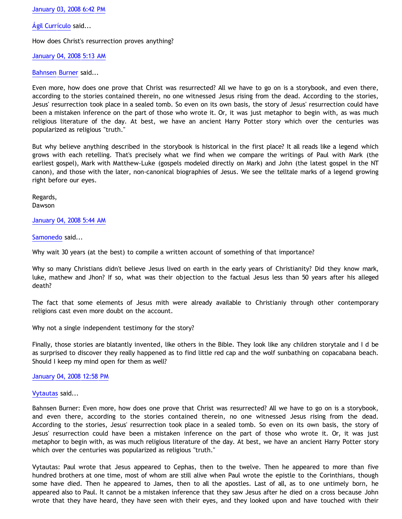[January 03, 2008 6:42 PM](http://bahnsenburner.blogspot.com/2008/01/2664415704271208452)

[Ágil Currículo](http://www.blogger.com/profile/14798619827125388804) said...

How does Christ's resurrection proves anything?

[January 04, 2008 5:13 AM](http://bahnsenburner.blogspot.com/2008/01/3466619712199015390)

[Bahnsen Burner](http://www.blogger.com/profile/11030029491768748360) said...

Even more, how does one prove that Christ was resurrected? All we have to go on is a storybook, and even there, according to the stories contained therein, no one witnessed Jesus rising from the dead. According to the stories, Jesus' resurrection took place in a sealed tomb. So even on its own basis, the story of Jesus' resurrection could have been a mistaken inference on the part of those who wrote it. Or, it was just metaphor to begin with, as was much religious literature of the day. At best, we have an ancient Harry Potter story which over the centuries was popularized as religious "truth."

But why believe anything described in the storybook is historical in the first place? It all reads like a legend which grows with each retelling. That's precisely what we find when we compare the writings of Paul with Mark (the earliest gospel), Mark with Matthew-Luke (gospels modeled directly on Mark) and John (the latest gospel in the NT canon), and those with the later, non-canonical biographies of Jesus. We see the telltale marks of a legend growing right before our eyes.

Regards, Dawson

## [January 04, 2008 5:44 AM](http://bahnsenburner.blogspot.com/2008/01/1002738100952439028)

[Samonedo](http://www.blogger.com/profile/14798619827125388804) said...

Why wait 30 years (at the best) to compile a written account of something of that importance?

Why so many Christians didn't believe Jesus lived on earth in the early years of Christianity? Did they know mark, luke, mathew and Jhon? If so, what was their objection to the factual Jesus less than 50 years after his alleged death?

The fact that some elements of Jesus mith were already available to Christianiy through other contemporary religions cast even more doubt on the account.

Why not a single independent testimony for the story?

Finally, those stories are blatantly invented, like others in the Bible. They look like any children storytale and I d be as surprised to discover they really happened as to find little red cap and the wolf sunbathing on copacabana beach. Should I keep my mind open for them as well?

[January 04, 2008 12:58 PM](http://bahnsenburner.blogspot.com/2008/01/6680921260255010283)

[Vytautas](http://www.blogger.com/profile/10563655929016752682) said...

Bahnsen Burner: Even more, how does one prove that Christ was resurrected? All we have to go on is a storybook, and even there, according to the stories contained therein, no one witnessed Jesus rising from the dead. According to the stories, Jesus' resurrection took place in a sealed tomb. So even on its own basis, the story of Jesus' resurrection could have been a mistaken inference on the part of those who wrote it. Or, it was just metaphor to begin with, as was much religious literature of the day. At best, we have an ancient Harry Potter story which over the centuries was popularized as religious "truth."

Vytautas: Paul wrote that Jesus appeared to Cephas, then to the twelve. Then he appeared to more than five hundred brothers at one time, most of whom are still alive when Paul wrote the epistle to the Corinthians, though some have died. Then he appeared to James, then to all the apostles. Last of all, as to one untimely born, he appeared also to Paul. It cannot be a mistaken inference that they saw Jesus after he died on a cross because John wrote that they have heard, they have seen with their eyes, and they looked upon and have touched with their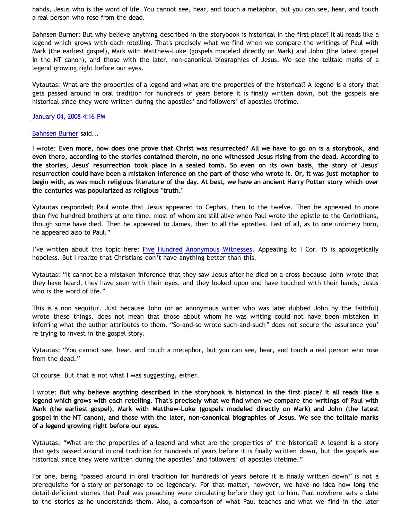hands, Jesus who is the word of life. You cannot see, hear, and touch a metaphor, but you can see, hear, and touch a real person who rose from the dead.

Bahnsen Burner: But why believe anything described in the storybook is historical in the first place? It all reads like a legend which grows with each retelling. That's precisely what we find when we compare the writings of Paul with Mark (the earliest gospel), Mark with Matthew-Luke (gospels modeled directly on Mark) and John (the latest gospel in the NT canon), and those with the later, non-canonical biographies of Jesus. We see the telltale marks of a legend growing right before our eyes.

Vytautas: What are the properties of a legend and what are the properties of the historical? A legend is a story that gets passed around in oral tradition for hundreds of years before it is finally written down, but the gospels are historical since they were written during the apostles' and followers' of apostles lifetime.

#### [January 04, 2008 4:16 PM](http://bahnsenburner.blogspot.com/2008/01/1920387460095507630)

#### [Bahnsen Burner](http://www.blogger.com/profile/11030029491768748360) said...

I wrote: **Even more, how does one prove that Christ was resurrected? All we have to go on is a storybook, and even there, according to the stories contained therein, no one witnessed Jesus rising from the dead. According to the stories, Jesus' resurrection took place in a sealed tomb. So even on its own basis, the story of Jesus' resurrection could have been a mistaken inference on the part of those who wrote it. Or, it was just metaphor to begin with, as was much religious literature of the day. At best, we have an ancient Harry Potter story which over the centuries was popularized as religious "truth."**

Vytautas responded: Paul wrote that Jesus appeared to Cephas, then to the twelve. Then he appeared to more than five hundred brothers at one time, most of whom are still alive when Paul wrote the epistle to the Corinthians, though some have died. Then he appeared to James, then to all the apostles. Last of all, as to one untimely born, he appeared also to Paul."

I've written about this topic here: [Five Hundred Anonymous Witnesses.](http://bahnsenburner.blogspot.com/2005/05/five-hundred-anonymous-witnesses.html) Appealing to I Cor. 15 is apologetically hopeless. But I realize that Christians don't have anything better than this.

Vytautas: "It cannot be a mistaken inference that they saw Jesus after he died on a cross because John wrote that they have heard, they have seen with their eyes, and they looked upon and have touched with their hands, Jesus who is the word of life."

This is a non sequitur. Just because John (or an anonymous writer who was later dubbed John by the faithful) wrote these things, does not mean that those about whom he was writing could not have been mistaken in inferring what the author attributes to them. "So-and-so wrote such-and-such" does not secure the assurance you' re trying to invest in the gospel story.

Vytautas: "You cannot see, hear, and touch a metaphor, but you can see, hear, and touch a real person who rose from the dead."

Of course. But that is not what I was suggesting, either.

I wrote: **But why believe anything described in the storybook is historical in the first place? It all reads like a legend which grows with each retelling. That's precisely what we find when we compare the writings of Paul with Mark (the earliest gospel), Mark with Matthew-Luke (gospels modeled directly on Mark) and John (the latest gospel in the NT canon), and those with the later, non-canonical biographies of Jesus. We see the telltale marks of a legend growing right before our eyes.**

Vytautas: "What are the properties of a legend and what are the properties of the historical? A legend is a story that gets passed around in oral tradition for hundreds of years before it is finally written down, but the gospels are historical since they were written during the apostles' and followers' of apostles lifetime."

For one, being "passed around in oral tradition for hundreds of years before it is finally written down" is not a prerequisite for a story or personage to be legendary. For that matter, however, we have no idea how long the detail-deficient stories that Paul was preaching were circulating before they got to him. Paul nowhere sets a date to the stories as he understands them. Also, a comparison of what Paul teaches and what we find in the later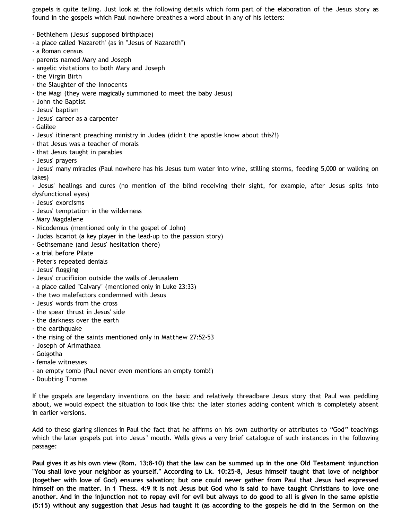gospels is quite telling. Just look at the following details which form part of the elaboration of the Jesus story as found in the gospels which Paul nowhere breathes a word about in any of his letters:

- Bethlehem (Jesus' supposed birthplace)
- a place called 'Nazareth' (as in "Jesus of Nazareth")
- a Roman census
- parents named Mary and Joseph
- angelic visitations to both Mary and Joseph
- the Virgin Birth
- the Slaughter of the Innocents
- the Magi (they were magically summoned to meet the baby Jesus)
- John the Baptist
- Jesus' baptism
- Jesus' career as a carpenter
- Galilee
- Jesus' itinerant preaching ministry in Judea (didn't the apostle know about this?!)
- that Jesus was a teacher of morals
- that Jesus taught in parables
- Jesus' prayers

- Jesus' many miracles (Paul nowhere has his Jesus turn water into wine, stilling storms, feeding 5,000 or walking on lakes)

- Jesus' healings and cures (no mention of the blind receiving their sight, for example, after Jesus spits into dysfunctional eyes)

- Jesus' exorcisms
- Jesus' temptation in the wilderness
- Mary Magdalene
- Nicodemus (mentioned only in the gospel of John)
- Judas Iscariot (a key player in the lead-up to the passion story)
- Gethsemane (and Jesus' hesitation there)
- a trial before Pilate
- Peter's repeated denials
- Jesus' flogging
- Jesus' crucifixion outside the walls of Jerusalem
- a place called "Calvary" (mentioned only in Luke 23:33)
- the two malefactors condemned with Jesus
- Jesus' words from the cross
- the spear thrust in Jesus' side
- the darkness over the earth
- the earthquake
- the rising of the saints mentioned only in Matthew 27:52-53
- Joseph of Arimathaea
- Golgotha
- female witnesses
- an empty tomb (Paul never even mentions an empty tomb!)
- Doubting Thomas

If the gospels are legendary inventions on the basic and relatively threadbare Jesus story that Paul was peddling about, we would expect the situation to look like this: the later stories adding content which is completely absent in earlier versions.

Add to these glaring silences in Paul the fact that he affirms on his own authority or attributes to "God" teachings which the later gospels put into Jesus' mouth. Wells gives a very brief catalogue of such instances in the following passage:

**Paul gives it as his own view (Rom. 13:8-10) that the law can be summed up in the one Old Testament injunction "You shall love your neighbor as yourself." According to Lk. 10:25-8, Jesus himself taught that love of neighbor (together with love of God) ensures salvation; but one could never gather from Paul that Jesus had expressed himself on the matter. In 1 Thess. 4:9 it is not Jesus but God who is said to have taught Christians to love one another. And in the injunction not to repay evil for evil but always to do good to all is given in the same epistle (5:15) without any suggestion that Jesus had taught it (as according to the gospels he did in the Sermon on the**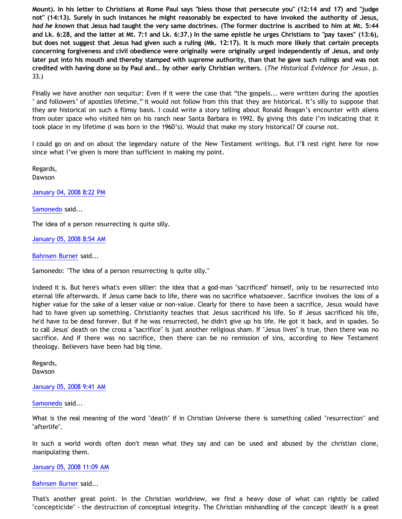**Mount). In his letter to Christians at Rome Paul says "bless those that persecute you" (12:14 and 17) and "judge not" (14:13). Surely in such instances he might reasonably be expected to have invoked the authority of Jesus,** *had he known* **that Jesus had taught the very same doctrines. (The former doctrine is ascribed to him at Mt. 5:44 and Lk. 6:28, and the latter at Mt. 7:1 and Lk. 6:37.) In the same epistle he urges Christians to "pay taxes" (13:6), but does not suggest that Jesus had given such a ruling (Mk. 12:17). It is much more likely that certain precepts concerning forgiveness and civil obedience were originally were originally urged independently of Jesus, and only later put into his mouth and thereby stamped with supreme authority, than that he gave such rulings and was not credited with having done so by Paul and… by other early Christian writers.** (*The Historical Evidence for Jesus*, p. 33.)

Finally we have another non sequitur: Even if it were the case that "the gospels... were written during the apostles ' and followers' of apostles lifetime," it would not follow from this that they are historical. It's silly to suppose that they are historical on such a flimsy basis. I could write a story telling about Ronald Reagan's encounter with aliens from outer space who visited him on his ranch near Santa Barbara in 1992. By giving this date I'm indicating that it took place in my lifetime (I was born in the 1960's). Would that make my story historical? Of course not.

I could go on and on about the legendary nature of the New Testament writings. But I'll rest right here for now since what I've given is more than sufficient in making my point.

Regards, Dawson

[January 04, 2008 8:22 PM](http://bahnsenburner.blogspot.com/2008/01/1107259486804030703)

[Samonedo](http://www.blogger.com/profile/14798619827125388804) said...

The idea of a person resurrecting is quite silly.

[January 05, 2008 8:54 AM](http://bahnsenburner.blogspot.com/2008/01/1828300122116155837)

[Bahnsen Burner](http://www.blogger.com/profile/11030029491768748360) said...

Samonedo: "The idea of a person resurrecting is quite silly."

Indeed it is. But here's what's even sillier: the idea that a god-man "sacrificed" himself, only to be resurrected into eternal life afterwards. If Jesus came back to life, there was no sacrifice whatsoever. Sacrifice involves the loss of a higher value for the sake of a lesser value or non-value. Clearly for there to have been a sacrifice, Jesus would have had to have given up something. Christianity teaches that Jesus sacrificed his life. So if Jesus sacrificed his life, he'd have to be dead forever. But if he was resurrected, he didn't give up his life. He got it back, and in spades. So to call Jesus' death on the cross a "sacrifice" is just another religious sham. If "Jesus lives" is true, then there was no sacrifice. And if there was no sacrifice, then there can be no remission of sins, according to New Testament theology. Believers have been had big time.

Regards, Dawson

[January 05, 2008 9:41 AM](http://bahnsenburner.blogspot.com/2008/01/428797049098448490)

[Samonedo](http://www.blogger.com/profile/14798619827125388804) said...

What is the real meaning of the word "death" if in Christian Universe there is something called "resurrection" and "afterlife".

In such a world words often don't mean what they say and can be used and abused by the christian clone, manipulating them.

### [January 05, 2008 11:09 AM](http://bahnsenburner.blogspot.com/2008/01/1901017407993967020)

#### [Bahnsen Burner](http://www.blogger.com/profile/11030029491768748360) said...

That's another great point. In the Christian worldview, we find a heavy dose of what can rightly be called "concepticide" - the destruction of conceptual integrity. The Christian mishandling of the concept 'death' is a great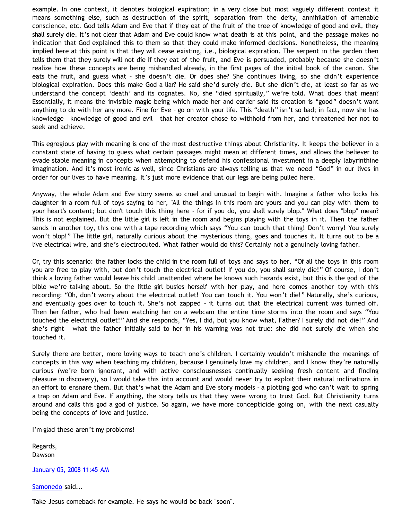example. In one context, it denotes biological expiration; in a very close but most vaguely different context it means something else, such as destruction of the spirit, separation from the deity, annihilation of amenable conscience, etc. God tells Adam and Eve that if they eat of the fruit of the tree of knowledge of good and evil, they shall surely die. It's not clear that Adam and Eve could know what death is at this point, and the passage makes no indication that God explained this to them so that they could make informed decisions. Nonetheless, the meaning implied here at this point is that they will cease existing, i.e., biological expiration. The serpent in the garden then tells them that they surely will not die if they eat of the fruit, and Eve is persuaded, probably because she doesn't realize how these concepts are being mishandled already, in the first pages of the initial book of the canon. She eats the fruit, and guess what – she doesn't die. Or does she? She continues living, so she didn't experience biological expiration. Does this make God a liar? He said she'd surely die. But she didn't die, at least so far as we understand the concept 'death' and its cognates. No, she "died spiritually," we're told. What does that mean? Essentially, it means the invisible magic being which made her and earlier said its creation is "good" doesn't want anything to do with her any more. Fine for Eve – go on with your life. This "death" isn't so bad; in fact, now she has knowledge – knowledge of good and evil – that her creator chose to withhold from her, and threatened her not to seek and achieve.

This egregious play with meaning is one of the most destructive things about Christianity. It keeps the believer in a constant state of having to guess what certain passages might mean at different times, and allows the believer to evade stable meaning in concepts when attempting to defend his confessional investment in a deeply labyrinthine imagination. And it's most ironic as well, since Christians are always telling us that we need "God" in our lives in order for our lives to have meaning. It's just more evidence that our legs are being pulled here.

Anyway, the whole Adam and Eve story seems so cruel and unusual to begin with. Imagine a father who locks his daughter in a room full of toys saying to her, "All the things in this room are yours and you can play with them to your heart's content; but don't touch this thing here - for if you do, you shall surely blop." What does "blop" mean? This is not explained. But the little girl is left in the room and begins playing with the toys in it. Then the father sends in another toy, this one with a tape recording which says "You can touch that thing! Don't worry! You surely won't blop!" The little girl, naturally curious about the mysterious thing, goes and touches it. It turns out to be a live electrical wire, and she's electrocuted. What father would do this? Certainly not a genuinely loving father.

Or, try this scenario: the father locks the child in the room full of toys and says to her, "Of all the toys in this room you are free to play with, but don't touch the electrical outlet! If you do, you shall surely die!" Of course, I don't think a loving father would leave his child unattended where he knows such hazards exist, but this is the god of the bible we're talking about. So the little girl busies herself with her play, and here comes another toy with this recording: "Oh, don't worry about the electrical outlet! You can touch it. You won't die!" Naturally, she's curious, and eventually goes over to touch it. She's not zapped – it turns out that the electrical current was turned off. Then her father, who had been watching her on a webcam the entire time storms into the room and says "You touched the electrical outlet!" And she responds, "Yes, I did, but you know what, Father? I surely did not die!" And she's right – what the father initially said to her in his warning was not true: she did not surely die when she touched it.

Surely there are better, more loving ways to teach one's children. I certainly wouldn't mishandle the meanings of concepts in this way when teaching my children, because I genuinely love my children, and I know they're naturally curious (we're born ignorant, and with active consciousnesses continually seeking fresh content and finding pleasure in discovery), so I would take this into account and would never try to exploit their natural inclinations in an effort to ensnare them. But that's what the Adam and Eve story models – a plotting god who can't wait to spring a trap on Adam and Eve. If anything, the story tells us that they were wrong to trust God. But Christianity turns around and calls this god a god of justice. So again, we have more concepticide going on, with the next casualty being the concepts of love and justice.

I'm glad these aren't my problems!

Regards, Dawson

[January 05, 2008 11:45 AM](http://bahnsenburner.blogspot.com/2008/01/7103727993235608015)

[Samonedo](http://www.blogger.com/profile/14798619827125388804) said...

Take Jesus comeback for example. He says he would be back "soon".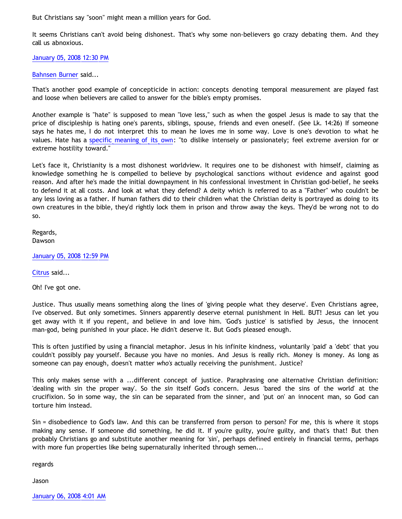But Christians say "soon" might mean a million years for God.

It seems Christians can't avoid being dishonest. That's why some non-believers go crazy debating them. And they call us abnoxious.

[January 05, 2008 12:30 PM](http://bahnsenburner.blogspot.com/2008/01/7052172599219062678)

[Bahnsen Burner](http://www.blogger.com/profile/11030029491768748360) said...

That's another good example of concepticide in action: concepts denoting temporal measurement are played fast and loose when believers are called to answer for the bible's empty promises.

Another example is "hate" is supposed to mean "love less," such as when the gospel Jesus is made to say that the price of discipleship is hating one's parents, siblings, spouse, friends and even oneself. (See Lk. 14:26) If someone says he hates me, I do not interpret this to mean he loves me in some way. Love is one's devotion to what he values. Hate has a [specific meaning of its own](http://dictionary.reference.com/browse/hate): "to dislike intensely or passionately; feel extreme aversion for or extreme hostility toward."

Let's face it, Christianity is a most dishonest worldview. It requires one to be dishonest with himself, claiming as knowledge something he is compelled to believe by psychological sanctions without evidence and against good reason. And after he's made the initial downpayment in his confessional investment in Christian god-belief, he seeks to defend it at all costs. And look at what they defend? A deity which is referred to as a "Father" who couldn't be any less loving as a father. If human fathers did to their children what the Christian deity is portrayed as doing to its own creatures in the bible, they'd rightly lock them in prison and throw away the keys. They'd be wrong not to do so.

Regards, Dawson

[January 05, 2008 12:59 PM](http://bahnsenburner.blogspot.com/2008/01/8255262682511448456)

[Citrus](http://www.blogger.com/profile/09604208085934821426) said...

Oh! I've got one.

Justice. Thus usually means something along the lines of 'giving people what they deserve'. Even Christians agree, I've observed. But only sometimes. Sinners apparently deserve eternal punishment in Hell. BUT! Jesus can let you get away with it if you repent, and believe in and love him. 'God's justice' is satisfied by Jesus, the innocent man-god, being punished in your place. He didn't deserve it. But God's pleased enough.

This is often justified by using a financial metaphor. Jesus in his infinite kindness, voluntarily 'paid' a 'debt' that you couldn't possibly pay yourself. Because you have no monies. And Jesus is really rich. Money is money. As long as someone can pay enough, doesn't matter *who's* actually receiving the punishment. Justice?

This only makes sense with a ...different concept of justice. Paraphrasing one alternative Christian definition: 'dealing with sin the proper way'. So the *sin* itself God's concern. Jesus 'bared the sins of the world' at the crucifixion. So in some way, the sin can be separated from the sinner, and 'put on' an innocent man, so God can torture him instead.

Sin = disobedience to God's law. And this can be transferred from person to person? For me, this is where it stops making any sense. If someone did something, he did it. If you're guilty, you're guilty, and that's that! But then probably Christians go and substitute another meaning for 'sin', perhaps defined entirely in financial terms, perhaps with more fun properties like being supernaturally inherited through semen...

regards

Jason